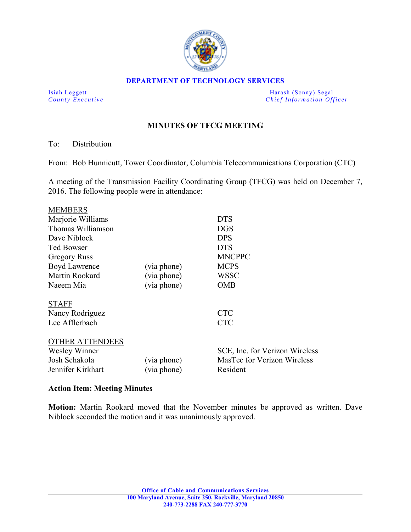

#### **DEPARTMENT OF TECHNOLOGY SERVICES**

Isiah Leggett Harash (Sonny) Segal *County Executive* **County**  $\overline{C}$  *Chief Information Officer* 

# **MINUTES OF TFCG MEETING**

### To: Distribution

From: Bob Hunnicutt, Tower Coordinator, Columbia Telecommunications Corporation (CTC)

A meeting of the Transmission Facility Coordinating Group (TFCG) was held on December 7, 2016. The following people were in attendance:

|             | DTS                            |
|-------------|--------------------------------|
|             | <b>DGS</b>                     |
|             | <b>DPS</b>                     |
|             | <b>DTS</b>                     |
|             | <b>MNCPPC</b>                  |
| (via phone) | <b>MCPS</b>                    |
| (via phone) | WSSC                           |
| (via phone) | <b>OMB</b>                     |
|             |                                |
|             |                                |
|             | <b>CTC</b>                     |
|             | <b>CTC</b>                     |
|             |                                |
|             |                                |
|             | SCE, Inc. for Verizon Wireless |
|             |                                |
| (via phone) | MasTec for Verizon Wireless    |
|             |                                |

### **Action Item: Meeting Minutes**

**Motion:** Martin Rookard moved that the November minutes be approved as written. Dave Niblock seconded the motion and it was unanimously approved.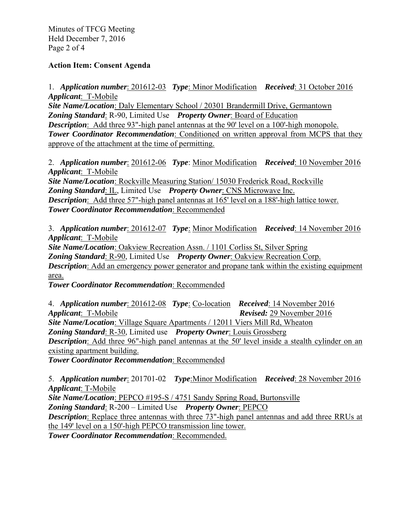Minutes of TFCG Meeting Held December 7, 2016 Page 2 of 4

### **Action Item: Consent Agenda**

1. *Application number*: 201612-03 *Type*: Minor Modification *Received*: 31 October 2016 *Applicant*: T-Mobile *Site Name/Location*: Daly Elementary School / 20301 Brandermill Drive, Germantown

*Zoning Standard*: R-90, Limited Use *Property Owner*: Board of Education *Description*: Add three 93"-high panel antennas at the 90' level on a 100'-high monopole. **Tower Coordinator Recommendation**: Conditioned on written approval from MCPS that they approve of the attachment at the time of permitting.

2. *Application number*: 201612-06 *Type*: Minor Modification *Received*: 10 November 2016 *Applicant*: T-Mobile

*Site Name/Location*: Rockville Measuring Station/ 15030 Frederick Road, Rockville *Zoning Standard*: IL, Limited Use *Property Owner*: CNS Microwave Inc. *Description*: Add three 57"-high panel antennas at 165' level on a 188'-high lattice tower. *Tower Coordinator Recommendation*: Recommended

3. *Application number*: 201612-07 *Type*: Minor Modification *Received*: 14 November 2016 *Applicant*: T-Mobile

*Site Name/Location*: Oakview Recreation Assn. / 1101 Corliss St, Silver Spring *Zoning Standard*: R-90, Limited Use *Property Owner*: Oakview Recreation Corp. *Description*: Add an emergency power generator and propane tank within the existing equipment area.

*Tower Coordinator Recommendation*: Recommended

4. *Application number*: 201612-08 *Type*: Co-location *Received*: 14 November 2016 *Applicant*: T-Mobile *Revised:* 29 November 2016 *Site Name/Location*: Village Square Apartments / 12011 Viers Mill Rd, Wheaton *Zoning Standard*: R-30, Limited use *Property Owner*: Louis Grossberg *Description*: Add three 96"-high panel antennas at the 50' level inside a stealth cylinder on an existing apartment building.

*Tower Coordinator Recommendation*: Recommended

5. *Application number*: 201701-02 *Type*:Minor Modification *Received*: 28 November 2016 *Applicant*: T-Mobile

*Site Name/Location*: PEPCO #195-S / 4751 Sandy Spring Road, Burtonsville *Zoning Standard*: R-200 – Limited Use *Property Owner*: PEPCO *Description*: Replace three antennas with three 73"-high panel antennas and add three RRUs at the 149' level on a 150'-high PEPCO transmission line tower.

*Tower Coordinator Recommendation*: Recommended.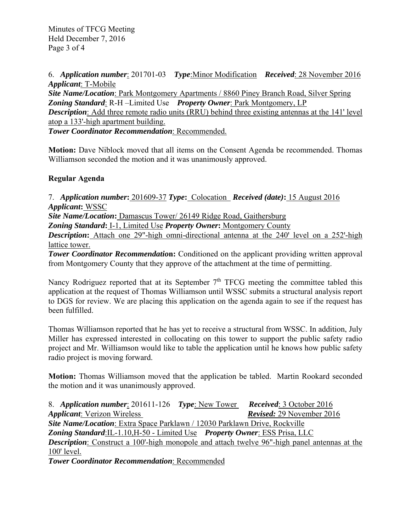Minutes of TFCG Meeting Held December 7, 2016 Page 3 of 4

6. *Application number*: 201701-03 *Type*:Minor Modification *Received*: 28 November 2016 *Applicant*: T-Mobile

*Site Name/Location*: Park Montgomery Apartments / 8860 Piney Branch Road, Silver Spring *Zoning Standard*: R-H –Limited Use *Property Owner*: Park Montgomery, LP *Description*: Add three remote radio units (RRU) behind three existing antennas at the 141' level atop a 133'-high apartment building.

*Tower Coordinator Recommendation*: Recommended.

**Motion:** Dave Niblock moved that all items on the Consent Agenda be recommended. Thomas Williamson seconded the motion and it was unanimously approved.

# **Regular Agenda**

7. *Application number***:** 201609-37 *Type***:** Colocation *Received (date)***:** 15 August 2016 *Applicant***:** WSSC

*Site Name/Location***:** Damascus Tower/ 26149 Ridge Road, Gaithersburg

*Zoning Standard***:** I-1, Limited Use *Property Owner***:** Montgomery County

**Description:** Attach one 29"-high omni-directional antenna at the 240' level on a 252'-high lattice tower.

**Tower Coordinator Recommendation:** Conditioned on the applicant providing written approval from Montgomery County that they approve of the attachment at the time of permitting.

Nancy Rodriguez reported that at its September  $7<sup>th</sup> TFCG$  meeting the committee tabled this application at the request of Thomas Williamson until WSSC submits a structural analysis report to DGS for review. We are placing this application on the agenda again to see if the request has been fulfilled.

Thomas Williamson reported that he has yet to receive a structural from WSSC. In addition, July Miller has expressed interested in collocating on this tower to support the public safety radio project and Mr. Williamson would like to table the application until he knows how public safety radio project is moving forward.

**Motion:** Thomas Williamson moved that the application be tabled. Martin Rookard seconded the motion and it was unanimously approved.

8. *Application number*: 201611-126 *Type*: New Tower *Received*: 3 October 2016 *Applicant*: Verizon Wireless *Revised:* 29 November 2016 *Site Name/Location*: Extra Space Parklawn / 12030 Parklawn Drive, Rockville *Zoning Standard*:IL-1.10,H-50 - Limited Use *Property Owner*: ESS Prisa, LLC *Description*: Construct a 100'-high monopole and attach twelve 96"-high panel antennas at the 100' level.

*Tower Coordinator Recommendation*: Recommended